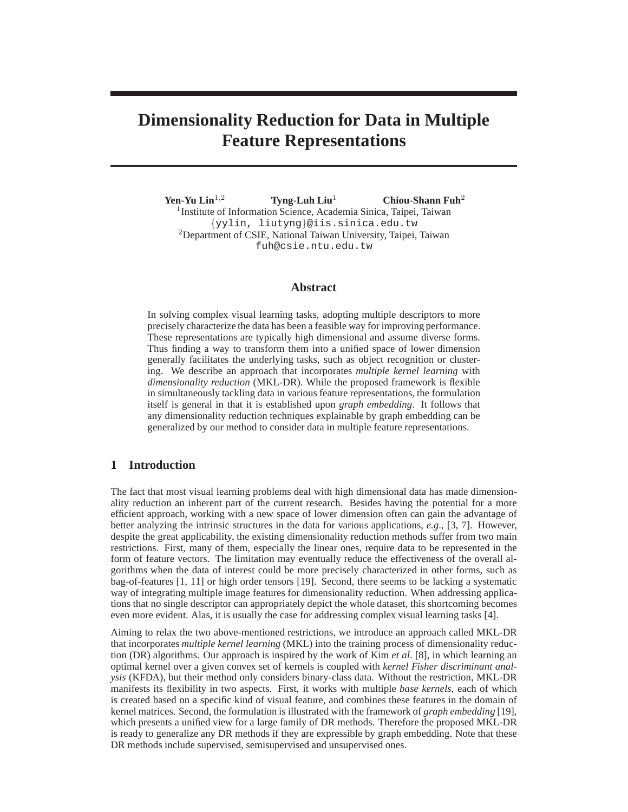# **Dimensionality Reduction for Data in Multiple Feature Representations**

**Yen-Yu Lin**<sup>1</sup>,<sup>2</sup> **Tyng-Luh Liu**<sup>1</sup> **Chiou-Shann Fuh**<sup>2</sup> <sup>1</sup> Institute of Information Science, Academia Sinica, Taipei, Taiwan {yylin, liutyng}@iis.sinica.edu.tw <sup>2</sup>Department of CSIE, National Taiwan University, Taipei, Taiwan fuh@csie.ntu.edu.tw

# **Abstract**

In solving complex visual learning tasks, adopting multiple descriptors to more precisely characterize the data has been a feasible way for improving performance. These representations are typically high dimensional and assume diverse forms. Thus finding a way to transform them into a unified space of lower dimension generally facilitates the underlying tasks, such as object recognition or clustering. We describe an approach that incorporates *multiple kernel learning* with *dimensionality reduction* (MKL-DR). While the proposed framework is flexible in simultaneously tackling data in various feature representations, the formulation itself is general in that it is established upon *graph embedding*. It follows that any dimensionality reduction techniques explainable by graph embedding can be generalized by our method to consider data in multiple feature representations.

## **1 Introduction**

The fact that most visual learning problems deal with high dimensional data has made dimensionality reduction an inherent part of the current research. Besides having the potential for a more efficient approach, working with a new space of lower dimension often can gain the advantage of better analyzing the intrinsic structures in the data for various applications, *e.g*., [3, 7]. However, despite the great applicability, the existing dimensionality reduction methods suffer from two main restrictions. First, many of them, especially the linear ones, require data to be represented in the form of feature vectors. The limitation may eventually reduce the effectiveness of the overall algorithms when the data of interest could be more precisely characterized in other forms, such as bag-of-features [1, 11] or high order tensors [19]. Second, there seems to be lacking a systematic way of integrating multiple image features for dimensionality reduction. When addressing applications that no single descriptor can appropriately depict the whole dataset, this shortcoming becomes even more evident. Alas, it is usually the case for addressing complex visual learning tasks [4].

Aiming to relax the two above-mentioned restrictions, we introduce an approach called MKL-DR that incorporates *multiple kernel learning* (MKL) into the training process of dimensionality reduction (DR) algorithms. Our approach is inspired by the work of Kim *et al*. [8], in which learning an optimal kernel over a given convex set of kernels is coupled with *kernel Fisher discriminant analysis* (KFDA), but their method only considers binary-class data. Without the restriction, MKL-DR manifests its flexibility in two aspects. First, it works with multiple *base kernels*, each of which is created based on a specific kind of visual feature, and combines these features in the domain of kernel matrices. Second, the formulation is illustrated with the framework of *graph embedding* [19], which presents a unified view for a large family of DR methods. Therefore the proposed MKL-DR is ready to generalize any DR methods if they are expressible by graph embedding. Note that these DR methods include supervised, semisupervised and unsupervised ones.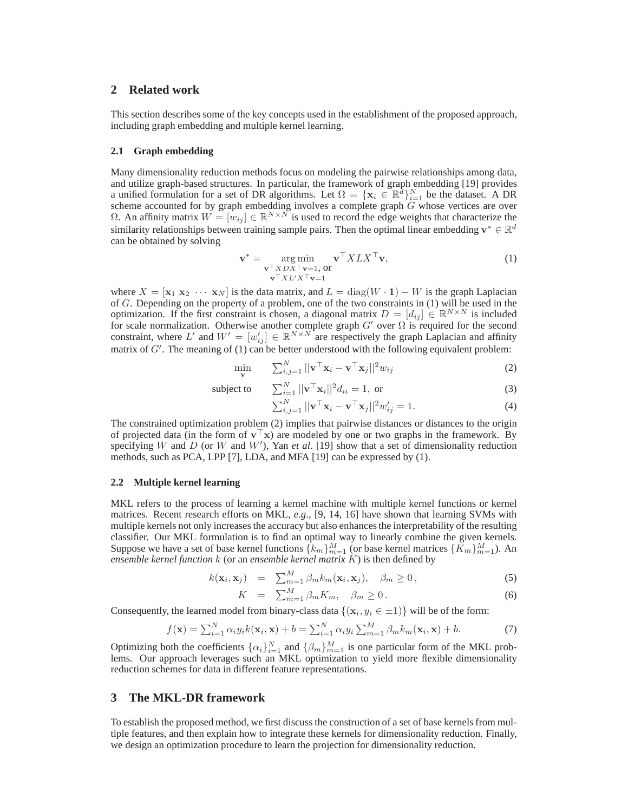## **2 Related work**

This section describes some of the key concepts used in the establishment of the proposed approach, including graph embedding and multiple kernel learning.

#### **2.1 Graph embedding**

Many dimensionality reduction methods focus on modeling the pairwise relationships among data, and utilize graph-based structures. In particular, the framework of graph embedding [19] provides a unified formulation for a set of DR algorithms. Let  $\Omega = {\mathbf{x}_i \in \mathbb{R}^d}_{i=1}^N$  be the dataset. A DR scheme accounted for by graph embedding involves a complete graph  $G$  whose vertices are over Ω. An affinity matrix  $W = [w_{ij}] \in \mathbb{R}^{N \times N}$  is used to record the edge weights that characterize the similarity relationships between training sample pairs. Then the optimal linear embedding  $\mathbf{v}^* \in \mathbb{R}^d$ can be obtained by solving

$$
\mathbf{v}^* = \underset{\mathbf{v}^\top X D X^\top \mathbf{v} = 1, \text{ or}}{\operatorname{arg\,min}} \mathbf{v}^\top X L X^\top \mathbf{v},
$$
  
\n
$$
\mathbf{v}^\top X L' X^\top \mathbf{v} = 1
$$
\n(1)

where  $X = [\mathbf{x}_1 \ \mathbf{x}_2 \ \cdots \ \mathbf{x}_N]$  is the data matrix, and  $L = \text{diag}(W \cdot \mathbf{1}) - W$  is the graph Laplacian of G. Depending on the property of a problem, one of the two constraints in (1) will be used in the optimization. If the first constraint is chosen, a diagonal matrix  $D = [d_{ij}] \in \mathbb{R}^{N \times N}$  is included for scale normalization. Otherwise another complete graph  $G'$  over  $\Omega$  is required for the second constraint, where L' and  $W' = [w'_{ij}] \in \mathbb{R}^{N \times N}$  are respectively the graph Laplacian and affinity matrix of  $G'$ . The meaning of (1) can be better understood with the following equivalent problem:

$$
\min_{\mathbf{v}} \qquad \sum_{i,j=1}^{N} ||\mathbf{v}^{\top} \mathbf{x}_{i} - \mathbf{v}^{\top} \mathbf{x}_{j}||^{2} w_{ij}
$$
 (2)

subject to 
$$
\sum_{i=1}^{N} ||\mathbf{v}^{\top} \mathbf{x}_i||^2 d_{ii} = 1, \text{ or}
$$
 (3)

$$
\sum_{i,j=1}^{N} ||\mathbf{v}^{\top}\mathbf{x}_{i} - \mathbf{v}^{\top}\mathbf{x}_{j}||^{2}w_{ij}^{\prime} = 1.
$$
 (4)

The constrained optimization problem (2) implies that pairwise distances or distances to the origin of projected data (in the form of  $\mathbf{v}^\top \mathbf{x}$ ) are modeled by one or two graphs in the framework. By specifying W and D (or W and W'), Yan *et al.* [19] show that a set of dimensionality reduction methods, such as PCA, LPP [7], LDA, and MFA [19] can be expressed by (1).

#### **2.2 Multiple kernel learning**

MKL refers to the process of learning a kernel machine with multiple kernel functions or kernel matrices. Recent research efforts on MKL, *e.g*., [9, 14, 16] have shown that learning SVMs with multiple kernels not only increases the accuracy but also enhances the interpretability of the resulting classifier. Our MKL formulation is to find an optimal way to linearly combine the given kernels. Suppose we have a set of base kernel functions  $\{k_m\}_{m=1}^M$  (or base kernel matrices  $\{\tilde{K}_m\}_{m=1}^M$ ). An *ensemble kernel function* k (or an *ensemble kernel matrix* K) is then defined by

$$
k(\mathbf{x}_i, \mathbf{x}_j) = \sum_{m=1}^{M} \beta_m k_m(\mathbf{x}_i, \mathbf{x}_j), \quad \beta_m \ge 0,
$$
 (5)

$$
K = \sum_{m=1}^{M} \beta_m K_m, \quad \beta_m \ge 0. \tag{6}
$$

Consequently, the learned model from binary-class data  $\{(x_i, y_i \in \pm 1)\}\$  will be of the form:

$$
f(\mathbf{x}) = \sum_{i=1}^{N} \alpha_i y_i k(\mathbf{x}_i, \mathbf{x}) + b = \sum_{i=1}^{N} \alpha_i y_i \sum_{m=1}^{M} \beta_m k_m(\mathbf{x}_i, \mathbf{x}) + b.
$$
 (7)

Optimizing both the coefficients  $\{\alpha_i\}_{i=1}^N$  and  $\{\beta_m\}_{m=1}^M$  is one particular form of the MKL problems. Our approach leverages such an MKL optimization to yield more flexible dimensionality reduction schemes for data in different feature representations.

### **3 The MKL-DR framework**

To establish the proposed method, we first discuss the construction of a set of base kernels from multiple features, and then explain how to integrate these kernels for dimensionality reduction. Finally, we design an optimization procedure to learn the projection for dimensionality reduction.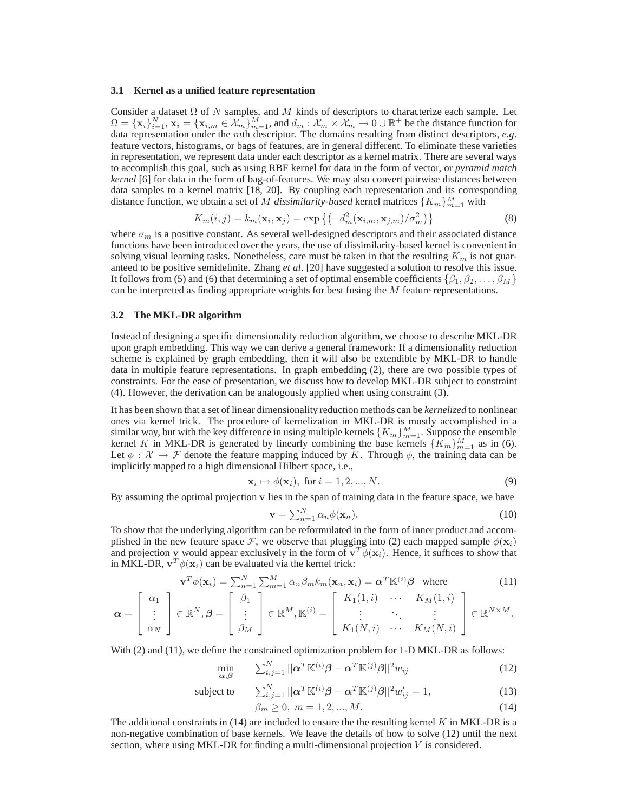#### **3.1 Kernel as a unified feature representation**

Consider a dataset  $\Omega$  of N samples, and M kinds of descriptors to characterize each sample. Let  $\Omega = {\mathbf{x}_i}_{i=1}^N$ ,  $\mathbf{x}_i = {\mathbf{x}_{i,m} \in \mathcal{X}_m}$   $\overrightarrow{M}_{m=1}$ , and  $d_m : \mathcal{X}_m \times \mathcal{X}_m \to 0 \cup \mathbb{R}^+$  be the distance function for data representation under the mth descriptor. The domains resulting from distinct descriptors, *e.g*. feature vectors, histograms, or bags of features, are in general different. To eliminate these varieties in representation, we represent data under each descriptor as a kernel matrix. There are several ways to accomplish this goal, such as using RBF kernel for data in the form of vector, or *pyramid match kernel* [6] for data in the form of bag-of-features. We may also convert pairwise distances between data samples to a kernel matrix [18, 20]. By coupling each representation and its corresponding distance function, we obtain a set of M *dissimilarity-based* kernel matrices  $\{K_m\}_{m=1}^M$  with

$$
K_m(i,j) = k_m(\mathbf{x}_i, \mathbf{x}_j) = \exp\left\{ \left( -d_m^2(\mathbf{x}_{i,m}, \mathbf{x}_{j,m}) / \sigma_m^2 \right) \right\}
$$
(8)

where  $\sigma_m$  is a positive constant. As several well-designed descriptors and their associated distance functions have been introduced over the years, the use of dissimilarity-based kernel is convenient in solving visual learning tasks. Nonetheless, care must be taken in that the resulting  $K_m$  is not guaranteed to be positive semidefinite. Zhang *et al*. [20] have suggested a solution to resolve this issue. It follows from (5) and (6) that determining a set of optimal ensemble coefficients  $\{\beta_1, \beta_2, \ldots, \beta_M\}$ can be interpreted as finding appropriate weights for best fusing the  $M$  feature representations.

#### **3.2 The MKL-DR algorithm**

Instead of designing a specific dimensionality reduction algorithm, we choose to describe MKL-DR upon graph embedding. This way we can derive a general framework: If a dimensionality reduction scheme is explained by graph embedding, then it will also be extendible by MKL-DR to handle data in multiple feature representations. In graph embedding (2), there are two possible types of constraints. For the ease of presentation, we discuss how to develop MKL-DR subject to constraint (4). However, the derivation can be analogously applied when using constraint (3).

It has been shown that a set of linear dimensionality reduction methods can be *kernelized* to nonlinear ones via kernel trick. The procedure of kernelization in MKL-DR is mostly accomplished in a similar way, but with the key difference in using multiple kernels  $\{K_m\}_{m=1}^M$ . Suppose the ensemble kernel K in MKL-DR is generated by linearly combining the base kernels  $\{K_m\}_{m=1}^M$  as in (6). Let  $\phi : \mathcal{X} \to \mathcal{F}$  denote the feature mapping induced by K. Through  $\phi$ , the training data can be implicitly mapped to a high dimensional Hilbert space, i.e.,

$$
\mathbf{x}_i \mapsto \phi(\mathbf{x}_i), \text{ for } i = 1, 2, ..., N. \tag{9}
$$

By assuming the optimal projection v lies in the span of training data in the feature space, we have

$$
\mathbf{v} = \sum_{n=1}^{N} \alpha_n \phi(\mathbf{x}_n). \tag{10}
$$

To show that the underlying algorithm can be reformulated in the form of inner product and accomplished in the new feature space  $\mathcal F$ , we observe that plugging into (2) each mapped sample  $\phi(\mathbf{x}_i)$ and projection v would appear exclusively in the form of  $\mathbf{v}^T \phi(\mathbf{x}_i)$ . Hence, it suffices to show that in MKL-DR,  $\mathbf{v}^T \phi(\mathbf{x}_i)$  can be evaluated via the kernel trick:

$$
\mathbf{v}^T \phi(\mathbf{x}_i) = \sum_{n=1}^N \sum_{m=1}^M \alpha_n \beta_m k_m(\mathbf{x}_n, \mathbf{x}_i) = \alpha^T \mathbb{K}^{(i)} \beta \quad \text{where}
$$
\n
$$
\mathbf{v}^T \phi(\mathbf{x}_i) = \sum_{n=1}^N \sum_{m=1}^M \alpha_n \beta_m k_m(\mathbf{x}_n, \mathbf{x}_i) = \alpha^T \mathbb{K}^{(i)} \beta \quad \text{where}
$$
\n
$$
(11)
$$

$$
\boldsymbol{\alpha} = \begin{bmatrix} \alpha_1 \\ \vdots \\ \alpha_N \end{bmatrix} \in \mathbb{R}^N, \boldsymbol{\beta} = \begin{bmatrix} \beta_1 \\ \vdots \\ \beta_M \end{bmatrix} \in \mathbb{R}^M, \mathbb{K}^{(i)} = \begin{bmatrix} K_1(1,i) & \cdots & K_M(1,i) \\ \vdots & \ddots & \vdots \\ K_1(N,i) & \cdots & K_M(N,i) \end{bmatrix} \in \mathbb{R}^{N \times M}.
$$

With (2) and (11), we define the constrained optimization problem for 1-D MKL-DR as follows:

$$
\min_{\mathbf{\alpha}, \mathbf{\beta}} \qquad \sum_{i,j=1}^{N} ||\mathbf{\alpha}^T \mathbb{K}^{(i)} \mathbf{\beta} - \mathbf{\alpha}^T \mathbb{K}^{(j)} \mathbf{\beta}||^2 w_{ij} \tag{12}
$$

subject to 
$$
\sum_{i,j=1}^{N} ||\boldsymbol{\alpha}^T \mathbb{K}^{(i)} \boldsymbol{\beta} - \boldsymbol{\alpha}^T \mathbb{K}^{(j)} \boldsymbol{\beta}||^2 w'_{ij} = 1,
$$
 (13)

$$
\beta_m \ge 0, \ m = 1, 2, ..., M. \tag{14}
$$

The additional constraints in  $(14)$  are included to ensure the the resulting kernel K in MKL-DR is a non-negative combination of base kernels. We leave the details of how to solve (12) until the next section, where using MKL-DR for finding a multi-dimensional projection  $V$  is considered.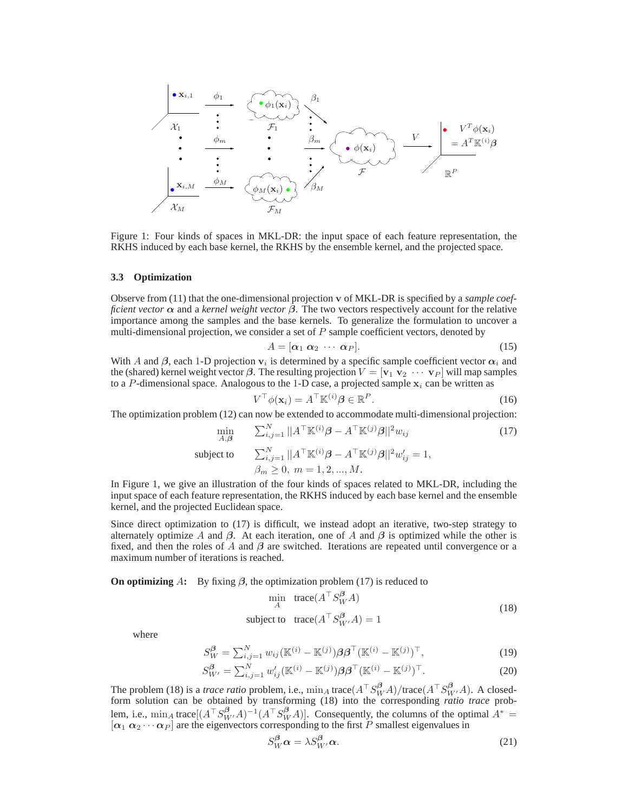xi,<sup>1</sup> xi,M X1 X<sup>M</sup> φ1 φ<sup>m</sup> φ<sup>M</sup> φ1(xi) φM(xi) F1 F<sup>M</sup> F β1 β<sup>m</sup> β<sup>M</sup> φ(xi) V V <sup>T</sup> φ(xi) = A <sup>T</sup> K (i)β R P

Figure 1: Four kinds of spaces in MKL-DR: the input space of each feature representation, the RKHS induced by each base kernel, the RKHS by the ensemble kernel, and the projected space.

#### **3.3 Optimization**

Observe from (11) that the one-dimensional projection v of MKL-DR is specified by a *sample coefficient vector*  $\alpha$  and a *kernel weight vector*  $\beta$ . The two vectors respectively account for the relative importance among the samples and the base kernels. To generalize the formulation to uncover a multi-dimensional projection, we consider a set of P sample coefficient vectors, denoted by

$$
A = [\alpha_1 \ \alpha_2 \ \cdots \ \alpha_P]. \tag{15}
$$

With A and  $\beta$ , each 1-D projection  $v_i$  is determined by a specific sample coefficient vector  $\alpha_i$  and the (shared) kernel weight vector  $\beta$ . The resulting projection  $V = [\mathbf{v}_1 \ \mathbf{v}_2 \ \cdots \ \mathbf{v}_P]$  will map samples to a P-dimensional space. Analogous to the 1-D case, a projected sample  $x_i$  can be written as

$$
V^{\top} \phi(\mathbf{x}_i) = A^{\top} \mathbb{K}^{(i)} \boldsymbol{\beta} \in \mathbb{R}^P.
$$
 (16)

The optimization problem (12) can now be extended to accommodate multi-dimensional projection:

$$
\min_{A,\beta} \qquad \sum_{i,j=1}^{N} ||A^{\top} \mathbb{K}^{(i)} \beta - A^{\top} \mathbb{K}^{(j)} \beta||^{2} w_{ij}
$$
\n
$$
\text{subject to} \qquad \sum_{i,j=1}^{N} ||A^{\top} \mathbb{K}^{(i)} \beta - A^{\top} \mathbb{K}^{(j)} \beta||^{2} w_{ij}' = 1,
$$
\n
$$
\beta_{m} \ge 0, \ m = 1, 2, ..., M.
$$
\n
$$
(17)
$$

In Figure 1, we give an illustration of the four kinds of spaces related to MKL-DR, including the input space of each feature representation, the RKHS induced by each base kernel and the ensemble kernel, and the projected Euclidean space.

Since direct optimization to (17) is difficult, we instead adopt an iterative, two-step strategy to alternately optimize A and  $\beta$ . At each iteration, one of A and  $\beta$  is optimized while the other is fixed, and then the roles of A and  $\beta$  are switched. Iterations are repeated until convergence or a maximum number of iterations is reached.

**On optimizing** A: By fixing  $\beta$ , the optimization problem (17) is reduced to

$$
\min_{A} \text{trace}(A^{\top} S_{W}^{\beta} A)
$$
  
subject to  $\text{trace}(A^{\top} S_{W'}^{\beta} A) = 1$  (18)

where

$$
S_W^{\beta} = \sum_{i,j=1}^N w_{ij} (\mathbb{K}^{(i)} - \mathbb{K}^{(j)}) \beta \beta^{\top} (\mathbb{K}^{(i)} - \mathbb{K}^{(j)})^{\top},
$$
(19)

$$
S_{W'}^{\beta} = \sum_{i,j=1}^{N} w'_{ij} (\mathbb{K}^{(i)} - \mathbb{K}^{(j)}) \beta \beta^{\top} (\mathbb{K}^{(i)} - \mathbb{K}^{(j)})^{\top}.
$$
 (20)

The problem (18) is a *trace ratio* problem, i.e.,  $\min_A \text{trace}(A^\top S_W^{\beta} A) / \text{trace}(A^\top S_{W'}^{\beta} A)$ . A closedform solution can be obtained by transforming (18) into the corresponding *ratio trace* problem, i.e.,  $\min_A \text{trace}[(A^\top S_{W'}^{\beta}A)^{-1}(A^\top S_{W}^{\beta}A)].$  Consequently, the columns of the optimal  $A^*$  =  $[\alpha_1 \alpha_2 \cdots \alpha_P]$  are the eigenvectors corresponding to the first P smallest eigenvalues in

$$
S_W^{\beta} \alpha = \lambda S_{W'}^{\beta} \alpha. \tag{21}
$$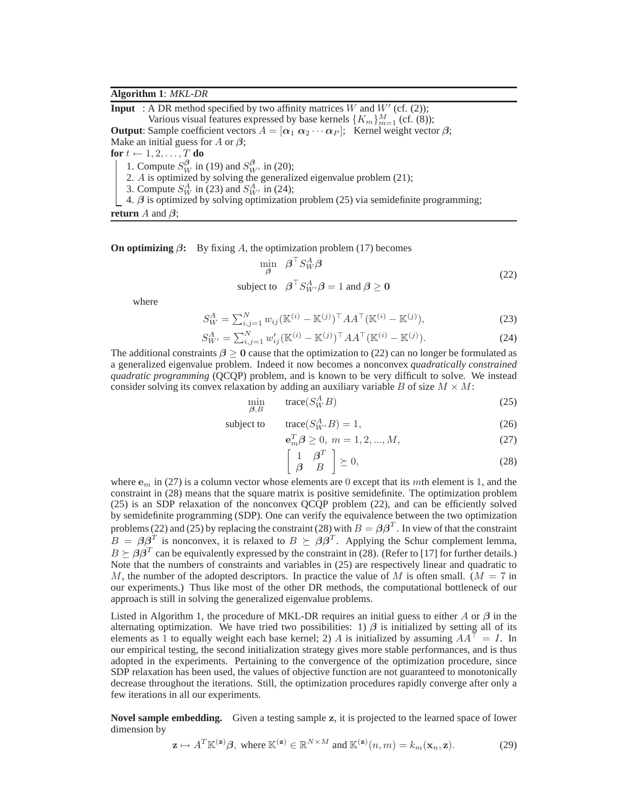## **Algorithm 1**: *MKL-DR*

**Input** : A DR method specified by two affinity matrices W and  $W'$  (cf. (2)); Various visual features expressed by base kernels  $\{K_m\}_{m=1}^M$  (cf. (8)); **Output**: Sample coefficient vectors  $A = [\alpha_1 \ \alpha_2 \cdots \alpha_P];$  Kernel weight vector  $\beta$ ; Make an initial guess for  $A$  or  $\beta$ ; **for**  $t \leftarrow 1, 2, \ldots, T$  **do** 1. Compute  $S_W^{\beta}$  in (19) and  $S_{W'}^{\beta}$  in (20); 2. A is optimized by solving the generalized eigenvalue problem (21);

3. Compute  $S_W^A$  in (23) and  $S_{W'}^A$  in (24);

4.  $\beta$  is optimized by solving optimization problem (25) via semidefinite programming;

**return** A and  $\beta$ ;

**On optimizing**  $\beta$ : By fixing A, the optimization problem (17) becomes

$$
\min_{\beta} \quad \beta^{\top} S_W^A \beta
$$
  
subject to 
$$
\beta^{\top} S_{W'}^A \beta = 1 \text{ and } \beta \ge 0
$$
 (22)

where

$$
S_W^A = \sum_{i,j=1}^N w_{ij} (\mathbb{K}^{(i)} - \mathbb{K}^{(j)})^\top A A^\top (\mathbb{K}^{(i)} - \mathbb{K}^{(j)}),
$$
\n(23)

$$
S_{W'}^{A} = \sum_{i,j=1}^{N} w'_{ij} (\mathbb{K}^{(i)} - \mathbb{K}^{(j)})^{\top} A A^{\top} (\mathbb{K}^{(i)} - \mathbb{K}^{(j)}).
$$
 (24)

The additional constraints  $\beta \ge 0$  cause that the optimization to (22) can no longer be formulated as a generalized eigenvalue problem. Indeed it now becomes a nonconvex *quadratically constrained quadratic programming* (QCQP) problem, and is known to be very difficult to solve. We instead consider solving its convex relaxation by adding an auxiliary variable B of size  $M \times M$ :

$$
\min_{\beta, B} \qquad \text{trace}(S_W^A B) \tag{25}
$$

$$
subject to \ttrace(S_{W'}^A B) = 1,
$$
\t(26)

$$
\mathbf{e}_m^T \boldsymbol{\beta} \ge 0, \ m = 1, 2, ..., M,\tag{27}
$$

$$
\begin{array}{cc} 1 & \beta^T \\ \beta & B \end{array} \geq 0,\tag{28}
$$

where  $e_m$  in (27) is a column vector whose elements are 0 except that its mth element is 1, and the constraint in (28) means that the square matrix is positive semidefinite. The optimization problem (25) is an SDP relaxation of the nonconvex QCQP problem (22), and can be efficiently solved by semidefinite programming (SDP). One can verify the equivalence between the two optimization problems (22) and (25) by replacing the constraint (28) with  $B = \beta \beta^T$ . In view of that the constraint  $B = \beta \beta^T$  is nonconvex, it is relaxed to  $B \succeq \beta \beta^T$ . Applying the Schur complement lemma,  $B \succeq \beta \beta^T$  can be equivalently expressed by the constraint in (28). (Refer to [17] for further details.) Note that the numbers of constraints and variables in (25) are respectively linear and quadratic to M, the number of the adopted descriptors. In practice the value of M is often small. ( $M = 7$  in our experiments.) Thus like most of the other DR methods, the computational bottleneck of our approach is still in solving the generalized eigenvalue problems.

f

Listed in Algorithm 1, the procedure of MKL-DR requires an initial guess to either A or  $\beta$  in the alternating optimization. We have tried two possibilities: 1)  $\beta$  is initialized by setting all of its elements as 1 to equally weight each base kernel; 2) A is initialized by assuming  $AA^\dagger = I$ . In our empirical testing, the second initialization strategy gives more stable performances, and is thus adopted in the experiments. Pertaining to the convergence of the optimization procedure, since SDP relaxation has been used, the values of objective function are not guaranteed to monotonically decrease throughout the iterations. Still, the optimization procedures rapidly converge after only a few iterations in all our experiments.

**Novel sample embedding.** Given a testing sample z, it is projected to the learned space of lower dimension by

$$
\mathbf{z} \mapsto A^T \mathbb{K}^{(\mathbf{z})} \boldsymbol{\beta}, \text{ where } \mathbb{K}^{(\mathbf{z})} \in \mathbb{R}^{N \times M} \text{ and } \mathbb{K}^{(\mathbf{z})}(n, m) = k_m(\mathbf{x}_n, \mathbf{z}). \tag{29}
$$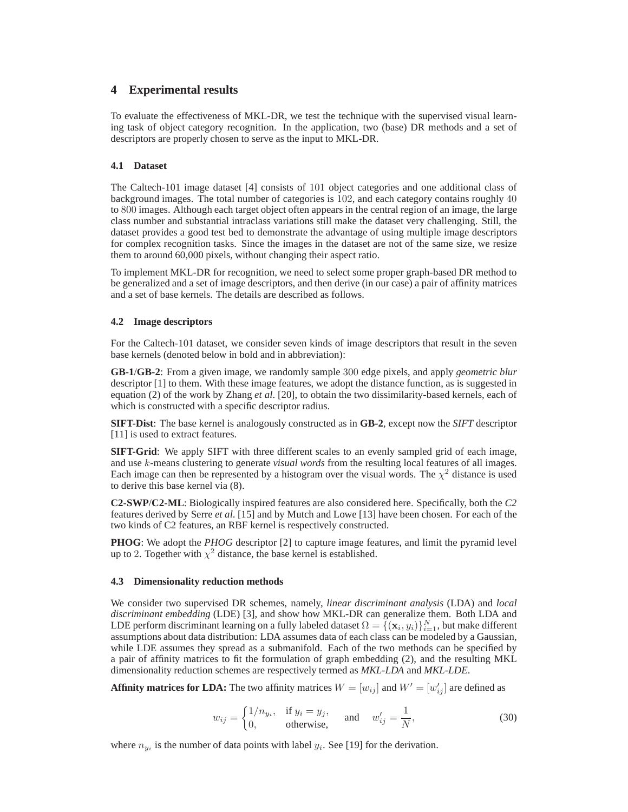# **4 Experimental results**

To evaluate the effectiveness of MKL-DR, we test the technique with the supervised visual learning task of object category recognition. In the application, two (base) DR methods and a set of descriptors are properly chosen to serve as the input to MKL-DR.

## **4.1 Dataset**

The Caltech-101 image dataset [4] consists of 101 object categories and one additional class of background images. The total number of categories is 102, and each category contains roughly 40 to 800 images. Although each target object often appears in the central region of an image, the large class number and substantial intraclass variations still make the dataset very challenging. Still, the dataset provides a good test bed to demonstrate the advantage of using multiple image descriptors for complex recognition tasks. Since the images in the dataset are not of the same size, we resize them to around 60,000 pixels, without changing their aspect ratio.

To implement MKL-DR for recognition, we need to select some proper graph-based DR method to be generalized and a set of image descriptors, and then derive (in our case) a pair of affinity matrices and a set of base kernels. The details are described as follows.

## **4.2 Image descriptors**

For the Caltech-101 dataset, we consider seven kinds of image descriptors that result in the seven base kernels (denoted below in bold and in abbreviation):

**GB-1**/**GB-2**: From a given image, we randomly sample 300 edge pixels, and apply *geometric blur* descriptor [1] to them. With these image features, we adopt the distance function, as is suggested in equation (2) of the work by Zhang *et al*. [20], to obtain the two dissimilarity-based kernels, each of which is constructed with a specific descriptor radius.

**SIFT-Dist**: The base kernel is analogously constructed as in **GB-2**, except now the *SIFT* descriptor [11] is used to extract features.

**SIFT-Grid**: We apply SIFT with three different scales to an evenly sampled grid of each image, and use k-means clustering to generate *visual words* from the resulting local features of all images. Each image can then be represented by a histogram over the visual words. The  $\chi^2$  distance is used to derive this base kernel via (8).

**C2-SWP**/**C2-ML**: Biologically inspired features are also considered here. Specifically, both the *C2* features derived by Serre *et al*. [15] and by Mutch and Lowe [13] have been chosen. For each of the two kinds of C2 features, an RBF kernel is respectively constructed.

**PHOG**: We adopt the *PHOG* descriptor [2] to capture image features, and limit the pyramid level up to 2. Together with  $\chi^2$  distance, the base kernel is established.

## **4.3 Dimensionality reduction methods**

We consider two supervised DR schemes, namely, *linear discriminant analysis* (LDA) and *local discriminant embedding* (LDE) [3], and show how MKL-DR can generalize them. Both LDA and LDE perform discriminant learning on a fully labeled dataset  $\Omega = \{(\mathbf{x}_i, y_i)\}_{i=1}^N$ , but make different assumptions about data distribution: LDA assumes data of each class can be modeled by a Gaussian, while LDE assumes they spread as a submanifold. Each of the two methods can be specified by a pair of affinity matrices to fit the formulation of graph embedding (2), and the resulting MKL dimensionality reduction schemes are respectively termed as *MKL-LDA* and *MKL-LDE*.

**Affinity matrices for LDA:** The two affinity matrices  $W = [w_{ij}]$  and  $W' = [w'_{ij}]$  are defined as

$$
w_{ij} = \begin{cases} 1/n_{y_i}, & \text{if } y_i = y_j, \\ 0, & \text{otherwise,} \end{cases} \quad \text{and} \quad w'_{ij} = \frac{1}{N}, \tag{30}
$$

where  $n_{y_i}$  is the number of data points with label  $y_i$ . See [19] for the derivation.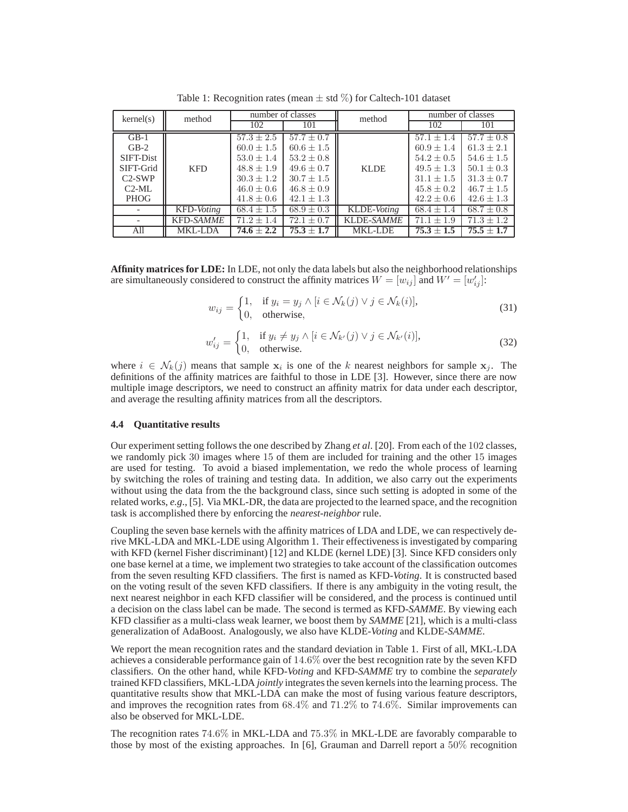| kernel(s)   | method           | number of classes |                | method            | number of classes |                |
|-------------|------------------|-------------------|----------------|-------------------|-------------------|----------------|
|             |                  | 102               | 101            |                   | 102               | 101            |
| $GB-1$      | <b>KFD</b>       | $57.3 \pm 2.5$    | $57.7 \pm 0.7$ | <b>KLDE</b>       | $57.1 \pm 1.4$    | $57.7 \pm 0.8$ |
| $GB-2$      |                  | $60.0 \pm 1.5$    | $60.6 \pm 1.5$ |                   | $60.9 \pm 1.4$    | $61.3 \pm 2.1$ |
| SIFT-Dist   |                  | $53.0 \pm 1.4$    | $53.2 \pm 0.8$ |                   | $54.2 \pm 0.5$    | $54.6 \pm 1.5$ |
| SIFT-Grid   |                  | $48.8 \pm 1.9$    | $49.6 \pm 0.7$ |                   | $49.5 \pm 1.3$    | $50.1 \pm 0.3$ |
| $C2-SWP$    |                  | $30.3 \pm 1.2$    | $30.7 \pm 1.5$ |                   | $31.1 \pm 1.5$    | $31.3 \pm 0.7$ |
| $C2-ML$     |                  | $46.0 \pm 0.6$    | $46.8 \pm 0.9$ |                   | $45.8 \pm 0.2$    | $46.7 + 1.5$   |
| <b>PHOG</b> |                  | $41.8 \pm 0.6$    | $42.1 \pm 1.3$ |                   | $42.2 \pm 0.6$    | $42.6 \pm 1.3$ |
|             | KFD-Voting       | $68.4 \pm 1.5$    | $68.9 \pm 0.3$ | KLDE-Voting       | $68.4 \pm 1.4$    | $68.7 \pm 0.8$ |
|             | <b>KFD-SAMME</b> | $71.2 \pm 1.4$    | $72.1 \pm 0.7$ | <b>KLDE-SAMME</b> | $71.1 \pm 1.9$    | $71.3 + 1.2$   |
| All         | <b>MKL-LDA</b>   | $74.6 + 2.2$      | $75.3 \pm 1.7$ | <b>MKL-LDE</b>    | $75.3 \pm 1.5$    | $75.5 + 1.7$   |

Table 1: Recognition rates (mean  $\pm$  std  $\%$ ) for Caltech-101 dataset

**Affinity matrices for LDE:** In LDE, not only the data labels but also the neighborhood relationships are simultaneously considered to construct the affinity matrices  $W = [w_{ij}]$  and  $W' = [w'_{ij}]$ :

$$
w_{ij} = \begin{cases} 1, & \text{if } y_i = y_j \land [i \in \mathcal{N}_k(j) \lor j \in \mathcal{N}_k(i)], \\ 0, & \text{otherwise,} \end{cases}
$$
(31)

$$
w'_{ij} = \begin{cases} 1, & \text{if } y_i \neq y_j \land [i \in \mathcal{N}_{k'}(j) \lor j \in \mathcal{N}_{k'}(i)], \\ 0, & \text{otherwise.} \end{cases}
$$
(32)

where  $i \in \mathcal{N}_k(j)$  means that sample  $x_i$  is one of the k nearest neighbors for sample  $x_j$ . The definitions of the affinity matrices are faithful to those in LDE [3]. However, since there are now multiple image descriptors, we need to construct an affinity matrix for data under each descriptor, and average the resulting affinity matrices from all the descriptors.

#### **4.4 Quantitative results**

Our experiment setting follows the one described by Zhang *et al*. [20]. From each of the 102 classes, we randomly pick 30 images where 15 of them are included for training and the other 15 images are used for testing. To avoid a biased implementation, we redo the whole process of learning by switching the roles of training and testing data. In addition, we also carry out the experiments without using the data from the the background class, since such setting is adopted in some of the related works, *e.g*., [5]. Via MKL-DR, the data are projected to the learned space, and the recognition task is accomplished there by enforcing the *nearest-neighbor* rule.

Coupling the seven base kernels with the affinity matrices of LDA and LDE, we can respectively derive MKL-LDA and MKL-LDE using Algorithm 1. Their effectiveness is investigated by comparing with KFD (kernel Fisher discriminant) [12] and KLDE (kernel LDE) [3]. Since KFD considers only one base kernel at a time, we implement two strategies to take account of the classification outcomes from the seven resulting KFD classifiers. The first is named as KFD-*Voting*. It is constructed based on the voting result of the seven KFD classifiers. If there is any ambiguity in the voting result, the next nearest neighbor in each KFD classifier will be considered, and the process is continued until a decision on the class label can be made. The second is termed as KFD-*SAMME*. By viewing each KFD classifier as a multi-class weak learner, we boost them by *SAMME* [21], which is a multi-class generalization of AdaBoost. Analogously, we also have KLDE-*Voting* and KLDE-*SAMME*.

We report the mean recognition rates and the standard deviation in Table 1. First of all, MKL-LDA achieves a considerable performance gain of 14.6% over the best recognition rate by the seven KFD classifiers. On the other hand, while KFD-*Voting* and KFD-*SAMME* try to combine the *separately* trained KFD classifiers, MKL-LDA *jointly* integrates the seven kernels into the learning process. The quantitative results show that MKL-LDA can make the most of fusing various feature descriptors, and improves the recognition rates from 68.4% and 71.2% to 74.6%. Similar improvements can also be observed for MKL-LDE.

The recognition rates 74.6% in MKL-LDA and 75.3% in MKL-LDE are favorably comparable to those by most of the existing approaches. In [6], Grauman and Darrell report a 50% recognition